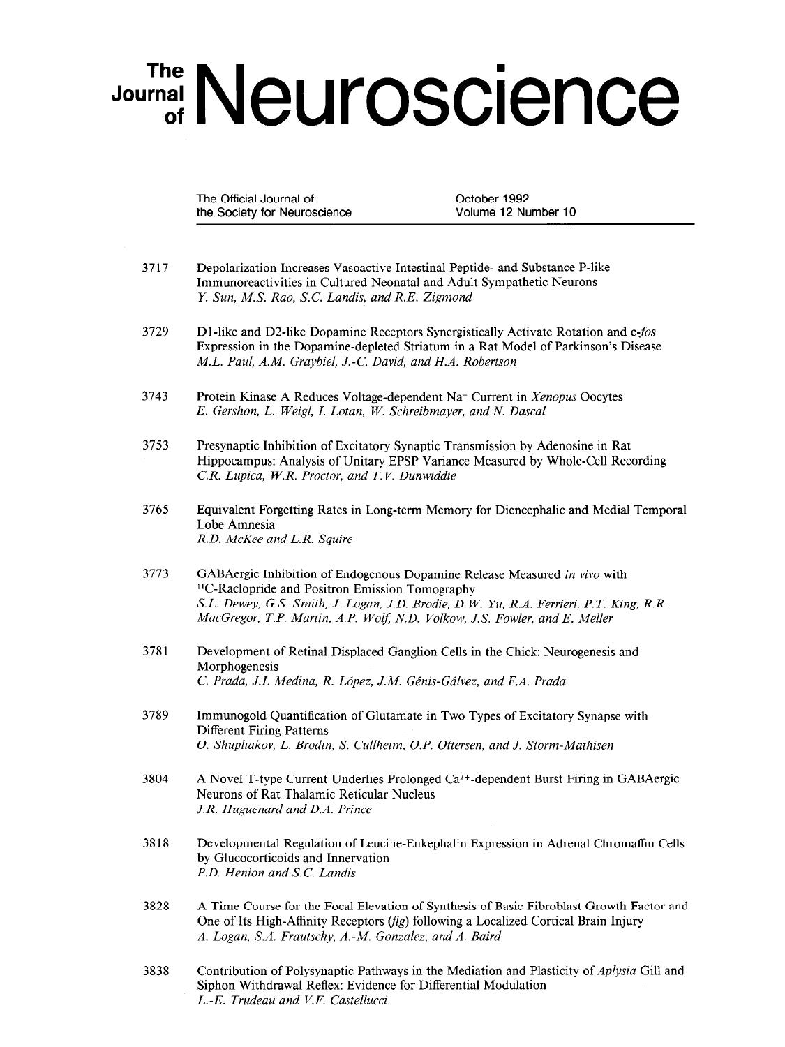## Journal Neuroscience

The Official Journal of Changes Corporation Corporation Corporation October 1992 the Society for Neuroscience Volume 12 Number 10

- 3717 Depolarization Increases Vasoactive Intestinal Peptide- and Substance P-like Immunoreactivities in Cultured Neonatal and Adult Sympathetic Neurons Y. Sun, MS. Rao, S.C. Landis, and R.E. Zigmond
- 3729 D1-like and D2-like Dopamine Receptors Synergistically Activate Rotation and  $c$ -fos Expression in the Dopamine-depleted Striatum in a Rat Model of Parkinson's Disease M.L. Paul, A.M. Graybiel, J.-C. David, and H.A. Robertson
- 3743 Protein Kinase A Reduces Voltage-dependent Na+ Current in Xenopus Oocytes E. Gershon, L. Weigl, I. Lotan, W. Schreibmayer, and N. Dascal
- 3753 Presynaptic Inhibition of Excitatory Synaptic Transmission by Adenosine in Rat Hippocampus: Analysis of Unitary EPSP Variance Measured by Whole-Cell Recording CR. Lupica, W.R. Proctor, and T.V. Dunwiddie
- 3765 Equivalent Forgetting Rates in Long-term Memory for Diencephalic and Medial Temporal Lobe Amnesia R.D. McKee and L.R. Squire
- 3773 GABAergic Inhibition of Endogenous Dopamine Release Measured in vivo with "C-Raclopride and Positron Emission Tomography S.L. Dewey, G.S. Smith, J. Logan, J.D. Brodie, D. W. Yu, R.A. Ferrieri, P.T. King, R.R. S.L. Dewey, G.S. Smun, J. Logan, J.D. Broaie, D.W. Tu, K.A. Ferrieri, F.T. 1
- 3781 Development of Retinal Displaced Ganglion Cells in the Chick: Neurogenesis and Development of Morphogenesis<br>C. Prada, J.I. Medina, R. López, J.M. Génis-Gálvez, and F.A. Prada
- 3789 Immuno gold  $\overline{C}$   $\overline{C}$   $\overline{C}$   $\overline{D}$   $\overline{D}$   $\overline{C}$   $\overline{C}$   $\overline{C}$   $\overline{C}$   $\overline{C}$   $\overline{C}$   $\overline{C}$   $\overline{C}$   $\overline{C}$   $\overline{C}$   $\overline{C}$   $\overline{C}$   $\overline{C}$   $\overline{C}$   $\overline{C}$   $\overline{C}$   $\overline{C}$   $\overline{C}$   $\$ Immunogoid Quantineati Different Firing Patterns<br>O. Shupliakov, L. Brodin, S. Cullheim, O.P. Ottersen, and J. Storm-Mathisen
- 3804 A Novel T-type Current Underlies Prolonged Ca2+-dependent Burst Firing in GABAergic A Novel 1-type Current Underlies Prolonged Neurons of Rat Thalamic Reticular Nucleus<br>J.R. Huguenard and D.A. Prince
- 3818 Developmental Regulation of Leucine-Enkephalin Expression in Adrenal Chromaffin Cells Developmental Regulation of Leuci by Glucocorticoids and Innervation<br>P.D. Henion and S.C. Landis
- 3828 A Time Course for the Focal Elevation of Synthesis of Basic Fibroblast Growth Factor and One of Its High-Affinity Receptors  $(f|g)$  following a Localized Cortical Brain Injury A. Logan, S.A. Frautschy, A.-M. Gonzalez, and A. Baird
- Contribution of Polysynaptic Pathways in the Mediation and Plasticity of Aplysia Gill and Siphon Withdrawal Reflex: Evidence for Differential Modulation  $L.-E$ . Trudeau and V.F. Castellucci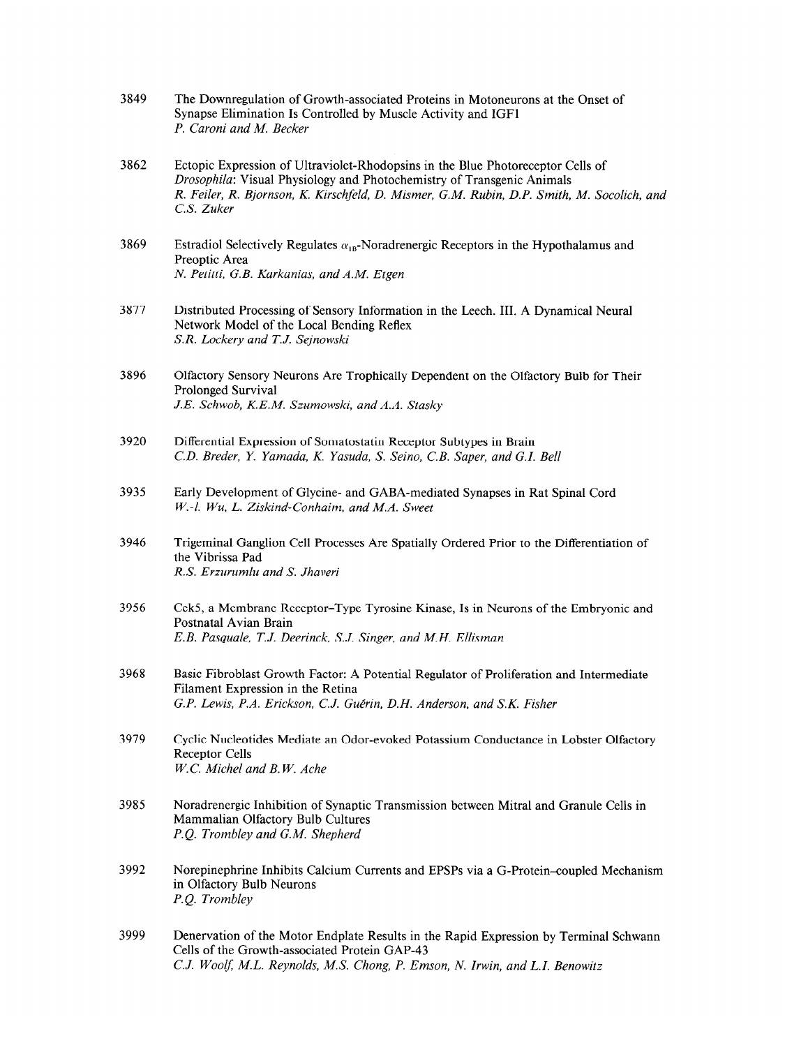| 3849 | The Downregulation of Growth-associated Proteins in Motoneurons at the Onset of |
|------|---------------------------------------------------------------------------------|
|      | Synapse Elimination Is Controlled by Muscle Activity and IGF1                   |
|      | P. Caroni and M. Becker                                                         |

- 3862 Ectopic Expression of Ultraviolet-Rhodopsins in the Blue Photoreceptor Cells of Drosophila: Visual Physiology and Photochemistry of Transgenic Animals R. Feiler, R. Bjornson, K. Kirschfeld, D. Mismer, G.M. Rubin, D.P. Smith, M. Socolich, and C.S. Zuker
- 3869 Estradiol Selectively Regulates  $\alpha_{\text{in}}$ -Noradrenergic Receptors in the Hypothalamus and Preoptic Area N. Petitti, G.B. Karkanias, and A.M. Etgen
- 3877 Distributed Processing of Sensory Information in the Leech. III. A Dynamical Neural Network Model of the Local Bending Reflex S.R. Lockery and T.J. Sejnowski
- 3896 Olfactory Sensory Neurons Are Trophically Dependent on the Olfactory Bulb for Their Prolonged Survival J.E. Schwab, K.E.M. Szumowski, and A.A. Stasky
- 3920 Differential Expression of Somatostatin Receptor Subtypes in Brain C.D. Breder, Y. Yamada, K. Yasuda, S. Seino, C.B. Saper, and G.I. Bell
- 3935 Early Development of Glycine- and GABA-mediated Synapses in Rat Spinal Cord  $W.-l.$  Wu, L. Ziskind-Conhaim, and M.A. Sweet
- 3946 Trigeminal Ganglion Cell Processes Are Spatially Ordered Prior to the Differentiation of the Vibrissa Pad R.S. Erzurumlu and S. Jhaveri
- 3956 Cek5, a Membrane Receptor-Type Tyrosine Kinase, Is in Neurons of the Embryonic and Postnatal Avian Brain E.B. Pasquale, T.J. Deerinck, S.J. Singer, and M.H. Ellisman
- 3968 Basic Fibroblast Growth Factor: A Potential Regulator of Proliferation and Intermediate Filament Expression in the Retina G.P. Lewis, P.A. Erickson, C.J. Guérin, D.H. Anderson, and S.K. Fisher
- 3979 Cyclic Nucleotides Mediate an Odor-evoked Potassium Conductance in Lobster Olfactory Receptor Cells Receptor Cells<br>W.C. Michel and B.W. Ache
- 3985 Noradrenergic Inhibition of Synaptic Transmission between Mitral and Granule Cells in  $M_{\rm g}$  Magneticipal International Cultures Bulb Cultures Bulb Cultures Bulb Cultures Bulb Cultures Bulb Cultures Bulb Cultures Bulb Cultures Bulb Cultures Bulb Cultures Bulb Cultures Bulb Cultures Bulb Cultures Bulb Cul Mammalian Olfactory Bulb Cultures<br>P.O. Trombley and G.M. Shepherd
- 3992 Norepinephrine Inhibits Calcium Currents and EPSPs via a G-Protein<oupled Mechanism in Oleman Bulb Neurons in Olfactory Bulb Neurons<br>P.O. Trombley
- 3999 Denervation of the Motor Endplate Results in the Rapid Expression by Terminal Schwann Denervation of the Motor Endplate Results in Cells of the Growth-associated Protein GAP-43<br>C.J. Woolf, M.L. Reynolds, M.S. Chong, P. Emson, N. Irwin, and L.I. Benowitz